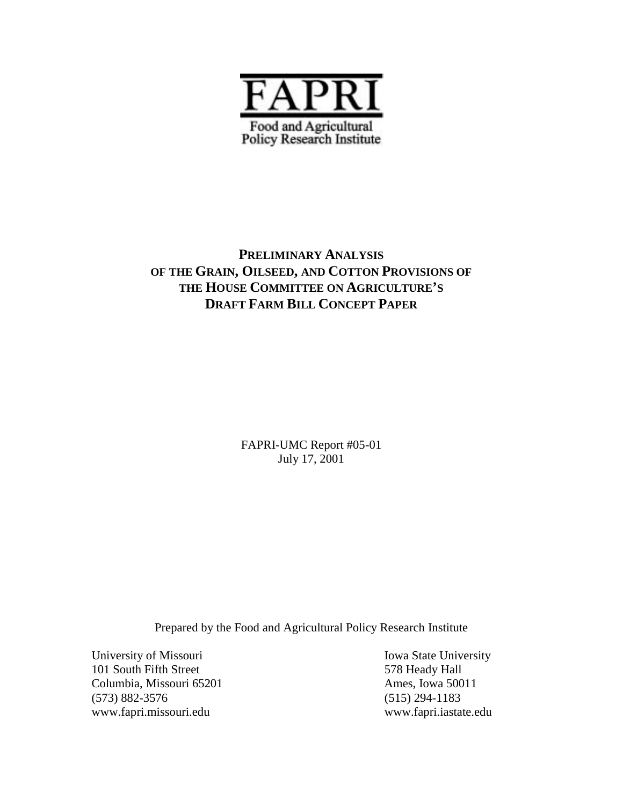

## **PRELIMINARY ANALYSIS OF THE GRAIN, OILSEED, AND COTTON PROVISIONS OF THE HOUSE COMMITTEE ON AGRICULTURE'S DRAFT FARM BILL CONCEPT PAPER**

FAPRI-UMC Report #05-01 July 17, 2001

Prepared by the Food and Agricultural Policy Research Institute

University of Missouri Iowa State University 101 South Fifth Street 578 Heady Hall Columbia, Missouri 65201 Ames, Iowa 50011 (573) 882-3576 (515) 294-1183 www.fapri.missouri.edu www.fapri.iastate.edu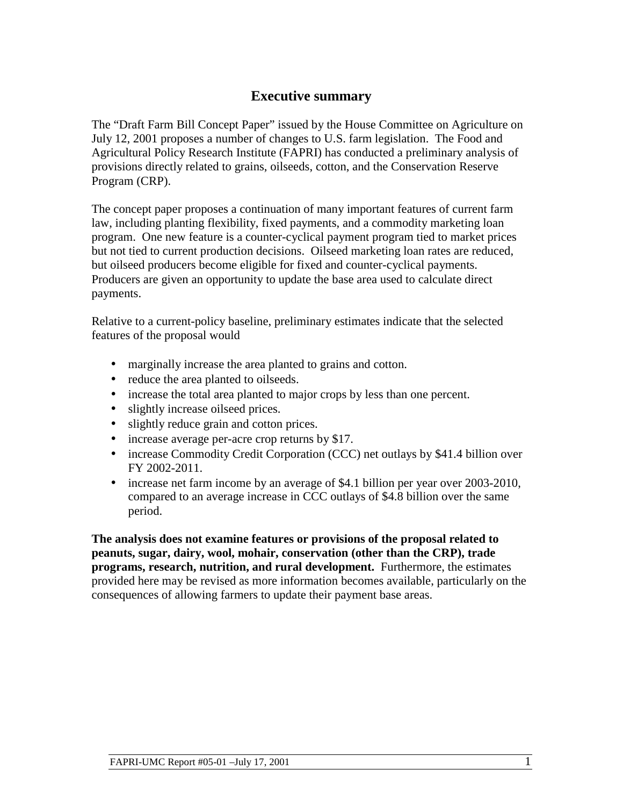## **Executive summary**

The "Draft Farm Bill Concept Paper" issued by the House Committee on Agriculture on July 12, 2001 proposes a number of changes to U.S. farm legislation. The Food and Agricultural Policy Research Institute (FAPRI) has conducted a preliminary analysis of provisions directly related to grains, oilseeds, cotton, and the Conservation Reserve Program (CRP).

The concept paper proposes a continuation of many important features of current farm law, including planting flexibility, fixed payments, and a commodity marketing loan program. One new feature is a counter-cyclical payment program tied to market prices but not tied to current production decisions. Oilseed marketing loan rates are reduced, but oilseed producers become eligible for fixed and counter-cyclical payments. Producers are given an opportunity to update the base area used to calculate direct payments.

Relative to a current-policy baseline, preliminary estimates indicate that the selected features of the proposal would

- marginally increase the area planted to grains and cotton.
- reduce the area planted to oilseeds.
- increase the total area planted to major crops by less than one percent.
- slightly increase oilseed prices.
- slightly reduce grain and cotton prices.
- increase average per-acre crop returns by \$17.
- increase Commodity Credit Corporation (CCC) net outlays by \$41.4 billion over FY 2002-2011.
- increase net farm income by an average of \$4.1 billion per year over 2003-2010, compared to an average increase in CCC outlays of \$4.8 billion over the same period.

**The analysis does not examine features or provisions of the proposal related to peanuts, sugar, dairy, wool, mohair, conservation (other than the CRP), trade programs, research, nutrition, and rural development.** Furthermore, the estimates provided here may be revised as more information becomes available, particularly on the consequences of allowing farmers to update their payment base areas.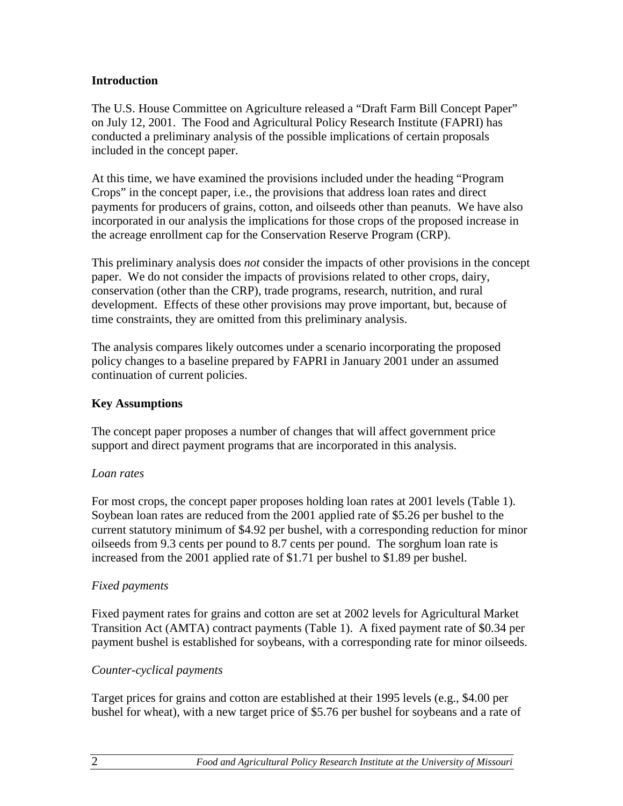### **Introduction**

The U.S. House Committee on Agriculture released a "Draft Farm Bill Concept Paper" on July 12, 2001. The Food and Agricultural Policy Research Institute (FAPRI) has conducted a preliminary analysis of the possible implications of certain proposals included in the concept paper.

At this time, we have examined the provisions included under the heading "Program Crops" in the concept paper, i.e., the provisions that address loan rates and direct payments for producers of grains, cotton, and oilseeds other than peanuts. We have also incorporated in our analysis the implications for those crops of the proposed increase in the acreage enrollment cap for the Conservation Reserve Program (CRP).

This preliminary analysis does *not* consider the impacts of other provisions in the concept paper. We do not consider the impacts of provisions related to other crops, dairy, conservation (other than the CRP), trade programs, research, nutrition, and rural development. Effects of these other provisions may prove important, but, because of time constraints, they are omitted from this preliminary analysis.

The analysis compares likely outcomes under a scenario incorporating the proposed policy changes to a baseline prepared by FAPRI in January 2001 under an assumed continuation of current policies.

## **Key Assumptions**

The concept paper proposes a number of changes that will affect government price support and direct payment programs that are incorporated in this analysis.

### *Loan rates*

For most crops, the concept paper proposes holding loan rates at 2001 levels (Table 1). Soybean loan rates are reduced from the 2001 applied rate of \$5.26 per bushel to the current statutory minimum of \$4.92 per bushel, with a corresponding reduction for minor oilseeds from 9.3 cents per pound to 8.7 cents per pound. The sorghum loan rate is increased from the 2001 applied rate of \$1.71 per bushel to \$1.89 per bushel.

### *Fixed payments*

Fixed payment rates for grains and cotton are set at 2002 levels for Agricultural Market Transition Act (AMTA) contract payments (Table 1). A fixed payment rate of \$0.34 per payment bushel is established for soybeans, with a corresponding rate for minor oilseeds.

## *Counter-cyclical payments*

Target prices for grains and cotton are established at their 1995 levels (e.g., \$4.00 per bushel for wheat), with a new target price of \$5.76 per bushel for soybeans and a rate of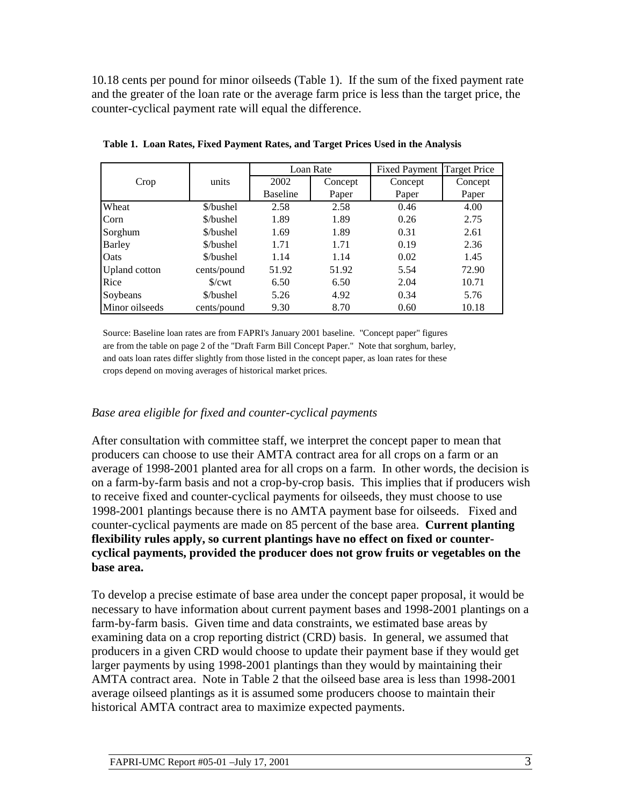10.18 cents per pound for minor oilseeds (Table 1). If the sum of the fixed payment rate and the greater of the loan rate or the average farm price is less than the target price, the counter-cyclical payment rate will equal the difference.

|                      |                 |                 | Loan Rate | Fixed Payment | <b>Target Price</b> |
|----------------------|-----------------|-----------------|-----------|---------------|---------------------|
| Crop                 | units           | 2002            | Concept   | Concept       | Concept             |
|                      |                 | <b>Baseline</b> | Paper     | Paper         | Paper               |
| Wheat                | \$/bushel       | 2.58            | 2.58      | 0.46          | 4.00                |
| Corn                 | \$/bushel       | 1.89            | 1.89      | 0.26          | 2.75                |
| Sorghum              | \$/bushel       | 1.69            | 1.89      | 0.31          | 2.61                |
| <b>Barley</b>        | \$/bushel       | 1.71            | 1.71      | 0.19          | 2.36                |
| Oats                 | \$/bushel       | 1.14            | 1.14      | 0.02          | 1.45                |
| <b>Upland</b> cotton | cents/pound     | 51.92           | 51.92     | 5.54          | 72.90               |
| Rice                 | $\sqrt{$}$ /cwt | 6.50            | 6.50      | 2.04          | 10.71               |
| Soybeans             | \$/bushel       | 5.26            | 4.92      | 0.34          | 5.76                |
| Minor oilseeds       | cents/pound     | 9.30            | 8.70      | 0.60          | 10.18               |

**Table 1. Loan Rates, Fixed Payment Rates, and Target Prices Used in the Analysis**

Source: Baseline loan rates are from FAPRI's January 2001 baseline. "Concept paper" figures are from the table on page 2 of the "Draft Farm Bill Concept Paper." Note that sorghum, barley, and oats loan rates differ slightly from those listed in the concept paper, as loan rates for these crops depend on moving averages of historical market prices.

### *Base area eligible for fixed and counter-cyclical payments*

After consultation with committee staff, we interpret the concept paper to mean that producers can choose to use their AMTA contract area for all crops on a farm or an average of 1998-2001 planted area for all crops on a farm. In other words, the decision is on a farm-by-farm basis and not a crop-by-crop basis. This implies that if producers wish to receive fixed and counter-cyclical payments for oilseeds, they must choose to use 1998-2001 plantings because there is no AMTA payment base for oilseeds. Fixed and counter-cyclical payments are made on 85 percent of the base area. **Current planting flexibility rules apply, so current plantings have no effect on fixed or countercyclical payments, provided the producer does not grow fruits or vegetables on the base area.**

To develop a precise estimate of base area under the concept paper proposal, it would be necessary to have information about current payment bases and 1998-2001 plantings on a farm-by-farm basis. Given time and data constraints, we estimated base areas by examining data on a crop reporting district (CRD) basis. In general, we assumed that producers in a given CRD would choose to update their payment base if they would get larger payments by using 1998-2001 plantings than they would by maintaining their AMTA contract area. Note in Table 2 that the oilseed base area is less than 1998-2001 average oilseed plantings as it is assumed some producers choose to maintain their historical AMTA contract area to maximize expected payments.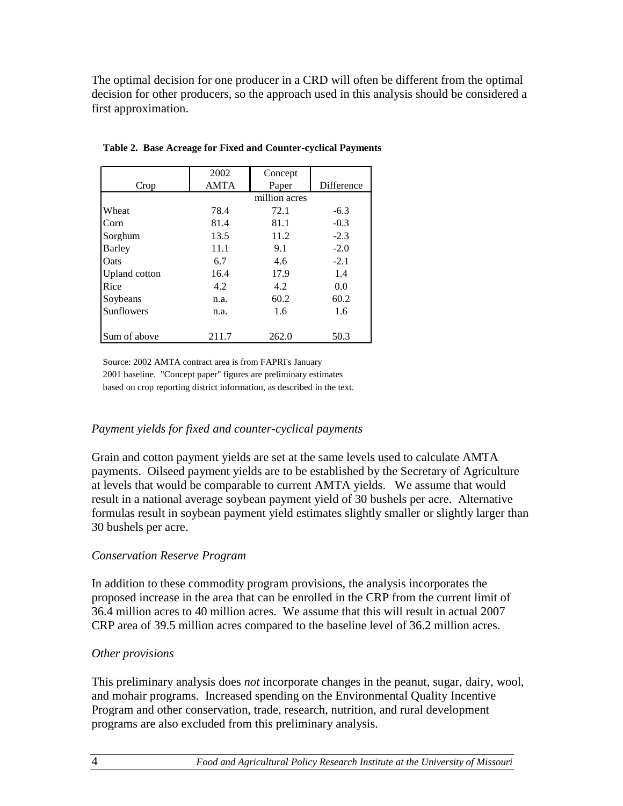The optimal decision for one producer in a CRD will often be different from the optimal decision for other producers, so the approach used in this analysis should be considered a first approximation.

|                      | 2002        | Concept       |            |
|----------------------|-------------|---------------|------------|
| Crop                 | <b>AMTA</b> | Paper         | Difference |
|                      |             | million acres |            |
| Wheat                | 78.4        | 72.1          | $-6.3$     |
| Corn                 | 81.4        | 81.1          | $-0.3$     |
| Sorghum              | 13.5        | 11.2          | $-2.3$     |
| <b>Barley</b>        | 11.1        | 9.1           | $-2.0$     |
| Oats                 | 6.7         | 4.6           | $-2.1$     |
| <b>Upland</b> cotton | 16.4        | 17.9          | 1.4        |
| Rice                 | 4.2         | 4.2           | 0.0        |
| Soybeans             | n.a.        | 60.2          | 60.2       |
| Sunflowers           | n.a.        | 1.6           | 1.6        |
|                      |             |               |            |
| Sum of above         | 211.7       | 262.0         | 50.3       |

**Table 2. Base Acreage for Fixed and Counter-cyclical Payments**

Source: 2002 AMTA contract area is from FAPRI's January 2001 baseline. "Concept paper" figures are preliminary estimates based on crop reporting district information, as described in the text.

### *Payment yields for fixed and counter-cyclical payments*

Grain and cotton payment yields are set at the same levels used to calculate AMTA payments. Oilseed payment yields are to be established by the Secretary of Agriculture at levels that would be comparable to current AMTA yields. We assume that would result in a national average soybean payment yield of 30 bushels per acre. Alternative formulas result in soybean payment yield estimates slightly smaller or slightly larger than 30 bushels per acre.

### *Conservation Reserve Program*

In addition to these commodity program provisions, the analysis incorporates the proposed increase in the area that can be enrolled in the CRP from the current limit of 36.4 million acres to 40 million acres. We assume that this will result in actual 2007 CRP area of 39.5 million acres compared to the baseline level of 36.2 million acres.

## *Other provisions*

This preliminary analysis does *not* incorporate changes in the peanut, sugar, dairy, wool, and mohair programs. Increased spending on the Environmental Quality Incentive Program and other conservation, trade, research, nutrition, and rural development programs are also excluded from this preliminary analysis.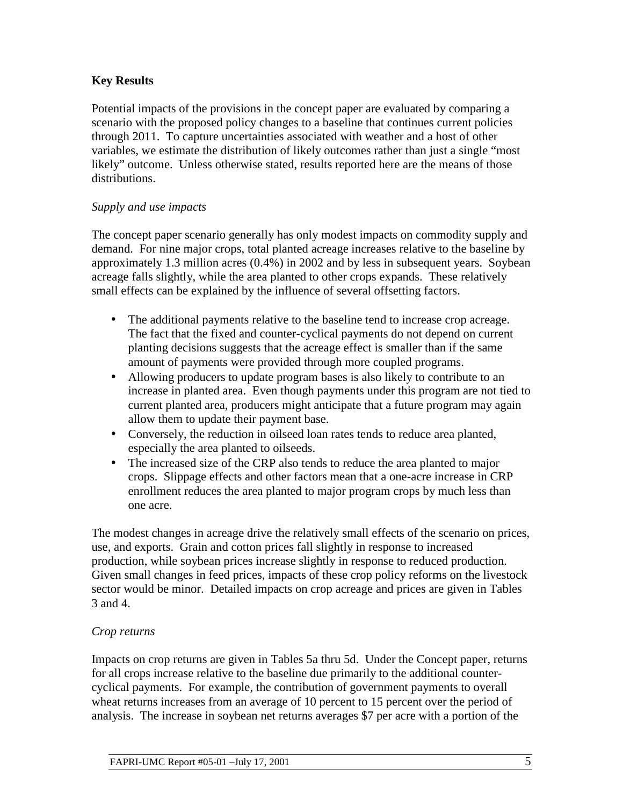## **Key Results**

Potential impacts of the provisions in the concept paper are evaluated by comparing a scenario with the proposed policy changes to a baseline that continues current policies through 2011. To capture uncertainties associated with weather and a host of other variables, we estimate the distribution of likely outcomes rather than just a single "most likely" outcome. Unless otherwise stated, results reported here are the means of those distributions.

### *Supply and use impacts*

The concept paper scenario generally has only modest impacts on commodity supply and demand. For nine major crops, total planted acreage increases relative to the baseline by approximately 1.3 million acres (0.4%) in 2002 and by less in subsequent years. Soybean acreage falls slightly, while the area planted to other crops expands. These relatively small effects can be explained by the influence of several offsetting factors.

- The additional payments relative to the baseline tend to increase crop acreage. The fact that the fixed and counter-cyclical payments do not depend on current planting decisions suggests that the acreage effect is smaller than if the same amount of payments were provided through more coupled programs.
- Allowing producers to update program bases is also likely to contribute to an increase in planted area. Even though payments under this program are not tied to current planted area, producers might anticipate that a future program may again allow them to update their payment base.
- Conversely, the reduction in oilseed loan rates tends to reduce area planted, especially the area planted to oilseeds.
- The increased size of the CRP also tends to reduce the area planted to major crops. Slippage effects and other factors mean that a one-acre increase in CRP enrollment reduces the area planted to major program crops by much less than one acre.

The modest changes in acreage drive the relatively small effects of the scenario on prices, use, and exports. Grain and cotton prices fall slightly in response to increased production, while soybean prices increase slightly in response to reduced production. Given small changes in feed prices, impacts of these crop policy reforms on the livestock sector would be minor. Detailed impacts on crop acreage and prices are given in Tables 3 and 4.

## *Crop returns*

Impacts on crop returns are given in Tables 5a thru 5d. Under the Concept paper, returns for all crops increase relative to the baseline due primarily to the additional countercyclical payments. For example, the contribution of government payments to overall wheat returns increases from an average of 10 percent to 15 percent over the period of analysis. The increase in soybean net returns averages \$7 per acre with a portion of the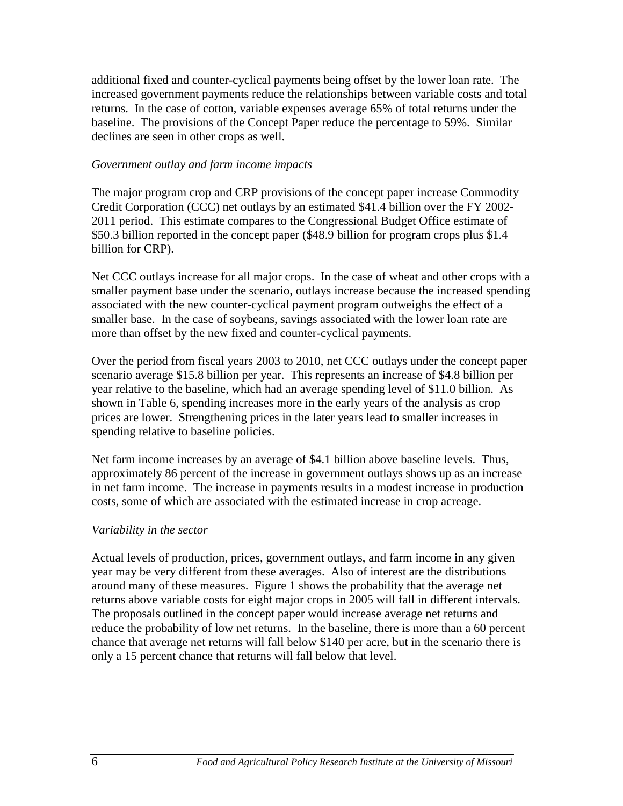additional fixed and counter-cyclical payments being offset by the lower loan rate. The increased government payments reduce the relationships between variable costs and total returns. In the case of cotton, variable expenses average 65% of total returns under the baseline. The provisions of the Concept Paper reduce the percentage to 59%. Similar declines are seen in other crops as well.

#### *Government outlay and farm income impacts*

The major program crop and CRP provisions of the concept paper increase Commodity Credit Corporation (CCC) net outlays by an estimated \$41.4 billion over the FY 2002- 2011 period. This estimate compares to the Congressional Budget Office estimate of \$50.3 billion reported in the concept paper (\$48.9 billion for program crops plus \$1.4 billion for CRP).

Net CCC outlays increase for all major crops. In the case of wheat and other crops with a smaller payment base under the scenario, outlays increase because the increased spending associated with the new counter-cyclical payment program outweighs the effect of a smaller base. In the case of soybeans, savings associated with the lower loan rate are more than offset by the new fixed and counter-cyclical payments.

Over the period from fiscal years 2003 to 2010, net CCC outlays under the concept paper scenario average \$15.8 billion per year. This represents an increase of \$4.8 billion per year relative to the baseline, which had an average spending level of \$11.0 billion. As shown in Table 6, spending increases more in the early years of the analysis as crop prices are lower. Strengthening prices in the later years lead to smaller increases in spending relative to baseline policies.

Net farm income increases by an average of \$4.1 billion above baseline levels. Thus, approximately 86 percent of the increase in government outlays shows up as an increase in net farm income. The increase in payments results in a modest increase in production costs, some of which are associated with the estimated increase in crop acreage.

#### *Variability in the sector*

Actual levels of production, prices, government outlays, and farm income in any given year may be very different from these averages. Also of interest are the distributions around many of these measures. Figure 1 shows the probability that the average net returns above variable costs for eight major crops in 2005 will fall in different intervals. The proposals outlined in the concept paper would increase average net returns and reduce the probability of low net returns. In the baseline, there is more than a 60 percent chance that average net returns will fall below \$140 per acre, but in the scenario there is only a 15 percent chance that returns will fall below that level.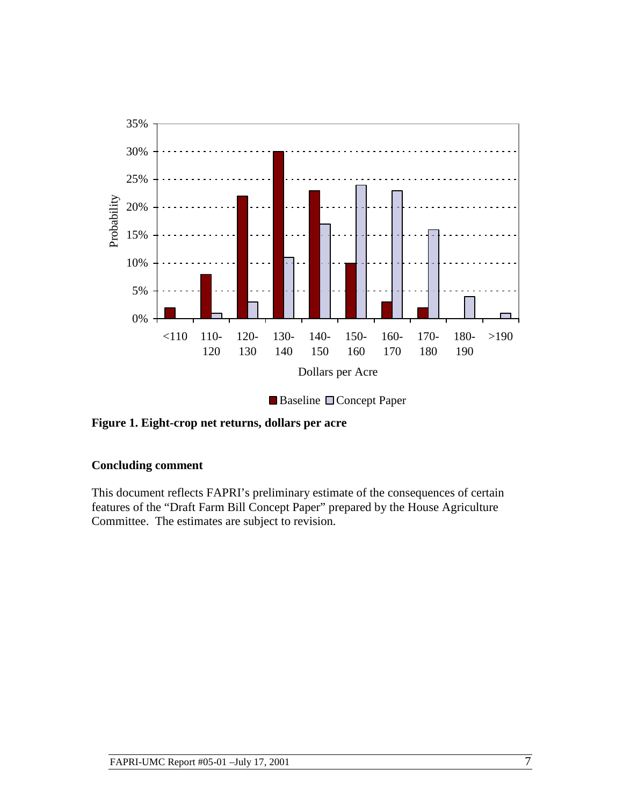

Baseline **Concept Paper** 

**Figure 1. Eight-crop net returns, dollars per acre**

### **Concluding comment**

This document reflects FAPRI's preliminary estimate of the consequences of certain features of the "Draft Farm Bill Concept Paper" prepared by the House Agriculture Committee. The estimates are subject to revision.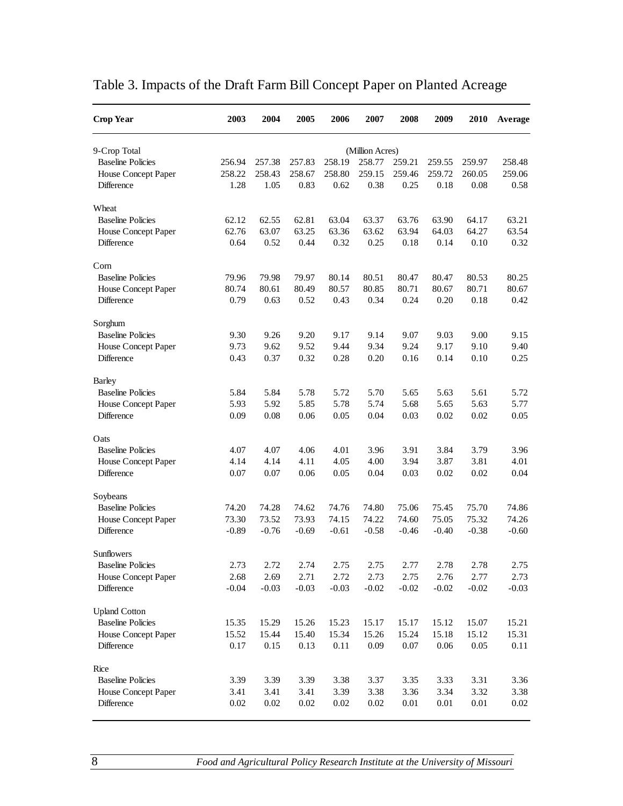| <b>Crop Year</b>         | 2003    | 2004    | 2005    | 2006    | 2007            | 2008     | 2009    | <b>2010</b> | Average |
|--------------------------|---------|---------|---------|---------|-----------------|----------|---------|-------------|---------|
| 9-Crop Total             |         |         |         |         | (Million Acres) |          |         |             |         |
| <b>Baseline Policies</b> | 256.94  | 257.38  | 257.83  | 258.19  | 258.77          | 259.21   | 259.55  | 259.97      | 258.48  |
| House Concept Paper      | 258.22  | 258.43  | 258.67  | 258.80  | 259.15          | 259.46   | 259.72  | 260.05      | 259.06  |
| Difference               | 1.28    | 1.05    | 0.83    | 0.62    | 0.38            | 0.25     | 0.18    | 0.08        | 0.58    |
| Wheat                    |         |         |         |         |                 |          |         |             |         |
| <b>Baseline Policies</b> | 62.12   | 62.55   | 62.81   | 63.04   | 63.37           | 63.76    | 63.90   | 64.17       | 63.21   |
| House Concept Paper      | 62.76   | 63.07   | 63.25   | 63.36   | 63.62           | 63.94    | 64.03   | 64.27       | 63.54   |
| Difference               | 0.64    | 0.52    | 0.44    | 0.32    | 0.25            | 0.18     | 0.14    | 0.10        | 0.32    |
| Com                      |         |         |         |         |                 |          |         |             |         |
| <b>Baseline Policies</b> | 79.96   | 79.98   | 79.97   | 80.14   | 80.51           | 80.47    | 80.47   | 80.53       | 80.25   |
| House Concept Paper      | 80.74   | 80.61   | 80.49   | 80.57   | 80.85           | 80.71    | 80.67   | 80.71       | 80.67   |
| Difference               | 0.79    | 0.63    | 0.52    | 0.43    | 0.34            | 0.24     | 0.20    | 0.18        | 0.42    |
| Sorghum                  |         |         |         |         |                 |          |         |             |         |
| <b>Baseline Policies</b> | 9.30    | 9.26    | 9.20    | 9.17    | 9.14            | 9.07     | 9.03    | 9.00        | 9.15    |
| House Concept Paper      | 9.73    | 9.62    | 9.52    | 9.44    | 9.34            | 9.24     | 9.17    | 9.10        | 9.40    |
| Difference               | 0.43    | 0.37    | 0.32    | 0.28    | 0.20            | 0.16     | 0.14    | 0.10        | 0.25    |
| <b>Barley</b>            |         |         |         |         |                 |          |         |             |         |
| <b>Baseline Policies</b> | 5.84    | 5.84    | 5.78    | 5.72    | 5.70            | 5.65     | 5.63    | 5.61        | 5.72    |
| House Concept Paper      | 5.93    | 5.92    | 5.85    | 5.78    | 5.74            | 5.68     | 5.65    | 5.63        | 5.77    |
| <b>Difference</b>        | 0.09    | 0.08    | 0.06    | 0.05    | 0.04            | 0.03     | 0.02    | 0.02        | 0.05    |
| Oats                     |         |         |         |         |                 |          |         |             |         |
| <b>Baseline Policies</b> | 4.07    | 4.07    | 4.06    | 4.01    | 3.96            | 3.91     | 3.84    | 3.79        | 3.96    |
| House Concept Paper      | 4.14    | 4.14    | 4.11    | 4.05    | 4.00            | 3.94     | 3.87    | 3.81        | 4.01    |
| Difference               | 0.07    | 0.07    | 0.06    | 0.05    | 0.04            | 0.03     | 0.02    | 0.02        | 0.04    |
| Soybeans                 |         |         |         |         |                 |          |         |             |         |
| <b>Baseline Policies</b> | 74.20   | 74.28   | 74.62   | 74.76   | 74.80           | 75.06    | 75.45   | 75.70       | 74.86   |
| House Concept Paper      | 73.30   | 73.52   | 73.93   | 74.15   | 74.22           | 74.60    | 75.05   | 75.32       | 74.26   |
| Difference               | $-0.89$ | $-0.76$ | $-0.69$ | $-0.61$ | $-0.58$         | $-0.46$  | $-0.40$ | $-0.38$     | $-0.60$ |
| Sunflowers               |         |         |         |         |                 |          |         |             |         |
| <b>Baseline Policies</b> | 2.73    | 2.72    | 2.74    | 2.75    | 2.75            | 2.77     | 2.78    | 2.78        | 2.75    |
| House Concept Paper      | 2.68    | 2.69    | 2.71    | 2.72    | 2.73            | 2.75     | 2.76    | 2.77        | 2.73    |
| Difference               | $-0.04$ | $-0.03$ | $-0.03$ | $-0.03$ | $-0.02$         | $-0.02$  | $-0.02$ | $-0.02$     | $-0.03$ |
| <b>Upland Cotton</b>     |         |         |         |         |                 |          |         |             |         |
| <b>Baseline Policies</b> | 15.35   | 15.29   | 15.26   | 15.23   | 15.17           | 15.17    | 15.12   | 15.07       | 15.21   |
| House Concept Paper      | 15.52   | 15.44   | 15.40   | 15.34   | 15.26           | 15.24    | 15.18   | 15.12       | 15.31   |
| Difference               | 0.17    | 0.15    | 0.13    | 0.11    | 0.09            | 0.07     | 0.06    | 0.05        | 0.11    |
| Rice                     |         |         |         |         |                 |          |         |             |         |
| <b>Baseline Policies</b> | 3.39    | 3.39    | 3.39    | 3.38    | 3.37            | 3.35     | 3.33    | 3.31        | 3.36    |
| House Concept Paper      | 3.41    | 3.41    | 3.41    | 3.39    | 3.38            | 3.36     | 3.34    | 3.32        | 3.38    |
| Difference               | 0.02    | 0.02    | 0.02    | 0.02    | $0.02\,$        | $0.01\,$ | 0.01    | $0.01\,$    | 0.02    |

# Table 3. Impacts of the Draft Farm Bill Concept Paper on Planted Acreage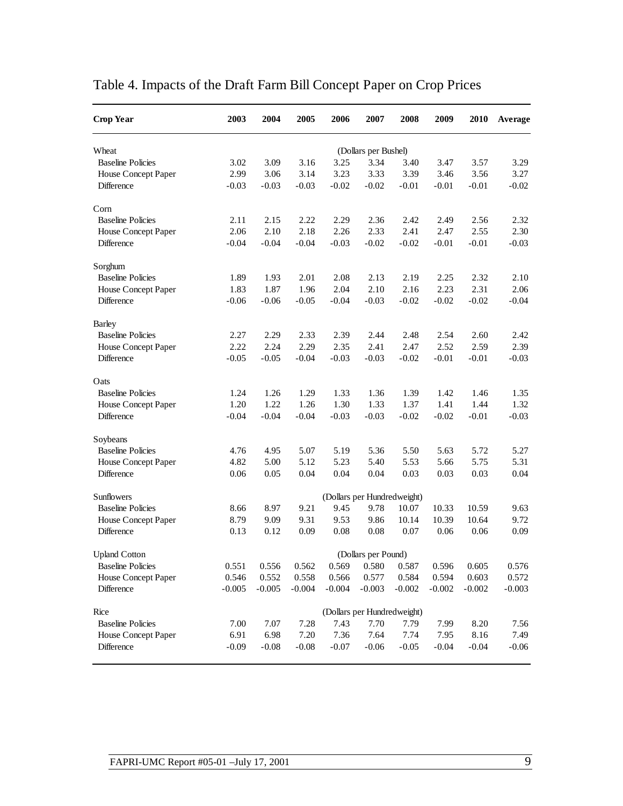| <b>Crop Year</b>         | 2003                        | 2004     | 2005     | 2006     | 2007                        | 2008     | 2009     | 2010     | Average  |  |
|--------------------------|-----------------------------|----------|----------|----------|-----------------------------|----------|----------|----------|----------|--|
| Wheat                    |                             |          |          |          | (Dollars per Bushel)        |          |          |          |          |  |
| <b>Baseline Policies</b> | 3.02                        | 3.09     | 3.16     | 3.25     | 3.34                        | 3.40     | 3.47     | 3.57     | 3.29     |  |
| House Concept Paper      | 2.99                        | 3.06     | 3.14     | 3.23     | 3.33                        | 3.39     | 3.46     | 3.56     | 3.27     |  |
| Difference               | $-0.03$                     | $-0.03$  | $-0.03$  | $-0.02$  | $-0.02$                     | $-0.01$  | $-0.01$  | $-0.01$  | $-0.02$  |  |
| Corn                     |                             |          |          |          |                             |          |          |          |          |  |
| <b>Baseline Policies</b> | 2.11                        | 2.15     | 2.22     | 2.29     | 2.36                        | 2.42     | 2.49     | 2.56     | 2.32     |  |
| House Concept Paper      | 2.06                        | 2.10     | 2.18     | 2.26     | 2.33                        | 2.41     | 2.47     | 2.55     | 2.30     |  |
| Difference               | $-0.04$                     | $-0.04$  | $-0.04$  | $-0.03$  | $-0.02$                     | $-0.02$  | $-0.01$  | $-0.01$  | $-0.03$  |  |
| Sorghum                  |                             |          |          |          |                             |          |          |          |          |  |
| <b>Baseline Policies</b> | 1.89                        | 1.93     | 2.01     | 2.08     | 2.13                        | 2.19     | 2.25     | 2.32     | 2.10     |  |
| House Concept Paper      | 1.83                        | 1.87     | 1.96     | 2.04     | 2.10                        | 2.16     | 2.23     | 2.31     | 2.06     |  |
| Difference               | $-0.06$                     | $-0.06$  | $-0.05$  | $-0.04$  | $-0.03$                     | $-0.02$  | $-0.02$  | $-0.02$  | $-0.04$  |  |
| <b>Barley</b>            |                             |          |          |          |                             |          |          |          |          |  |
| <b>Baseline Policies</b> | 2.27                        | 2.29     | 2.33     | 2.39     | 2.44                        | 2.48     | 2.54     | 2.60     | 2.42     |  |
| House Concept Paper      | 2.22                        | 2.24     | 2.29     | 2.35     | 2.41                        | 2.47     | 2.52     | 2.59     | 2.39     |  |
| Difference               | $-0.05$                     | $-0.05$  | $-0.04$  | $-0.03$  | $-0.03$                     | $-0.02$  | $-0.01$  | $-0.01$  | $-0.03$  |  |
| Oats                     |                             |          |          |          |                             |          |          |          |          |  |
| <b>Baseline Policies</b> | 1.24                        | 1.26     | 1.29     | 1.33     | 1.36                        | 1.39     | 1.42     | 1.46     | 1.35     |  |
| House Concept Paper      | 1.20                        | 1.22     | 1.26     | 1.30     | 1.33                        | 1.37     | 1.41     | 1.44     | 1.32     |  |
| Difference               | $-0.04$                     | $-0.04$  | $-0.04$  | $-0.03$  | $-0.03$                     | $-0.02$  | $-0.02$  | $-0.01$  | $-0.03$  |  |
| Soybeans                 |                             |          |          |          |                             |          |          |          |          |  |
| <b>Baseline Policies</b> | 4.76                        | 4.95     | 5.07     | 5.19     | 5.36                        | 5.50     | 5.63     | 5.72     | 5.27     |  |
| House Concept Paper      | 4.82                        | 5.00     | 5.12     | 5.23     | 5.40                        | 5.53     | 5.66     | 5.75     | 5.31     |  |
| Difference               | 0.06                        | 0.05     | 0.04     | 0.04     | 0.04                        | 0.03     | 0.03     | 0.03     | 0.04     |  |
| Sunflowers               |                             |          |          |          | (Dollars per Hundredweight) |          |          |          |          |  |
| <b>Baseline Policies</b> | 8.66                        | 8.97     | 9.21     | 9.45     | 9.78                        | 10.07    | 10.33    | 10.59    | 9.63     |  |
| House Concept Paper      | 8.79                        | 9.09     | 9.31     | 9.53     | 9.86                        | 10.14    | 10.39    | 10.64    | 9.72     |  |
| Difference               | 0.13                        | 0.12     | 0.09     | 0.08     | 0.08                        | 0.07     | 0.06     | 0.06     | 0.09     |  |
| <b>Upland Cotton</b>     |                             |          |          |          | (Dollars per Pound)         |          |          |          |          |  |
| <b>Baseline Policies</b> | 0.551                       | 0.556    | 0.562    | 0.569    | 0.580                       | 0.587    | 0.596    | 0.605    | 0.576    |  |
| House Concept Paper      | 0.546                       | 0.552    | 0.558    | 0.566    | 0.577                       | 0.584    | 0.594    | 0.603    | 0.572    |  |
| Difference               | $-0.005$                    | $-0.005$ | $-0.004$ | $-0.004$ | $-0.003$                    | $-0.002$ | $-0.002$ | $-0.002$ | $-0.003$ |  |
| Rice                     | (Dollars per Hundredweight) |          |          |          |                             |          |          |          |          |  |
| <b>Baseline Policies</b> | 7.00                        | 7.07     | 7.28     | 7.43     | 7.70                        | 7.79     | 7.99     | 8.20     | 7.56     |  |
| House Concept Paper      | 6.91                        | 6.98     | 7.20     | 7.36     | 7.64                        | 7.74     | 7.95     | 8.16     | 7.49     |  |
| Difference               | $-0.09$                     | $-0.08$  | $-0.08$  | $-0.07$  | $-0.06$                     | $-0.05$  | $-0.04$  | $-0.04$  | $-0.06$  |  |

# Table 4. Impacts of the Draft Farm Bill Concept Paper on Crop Prices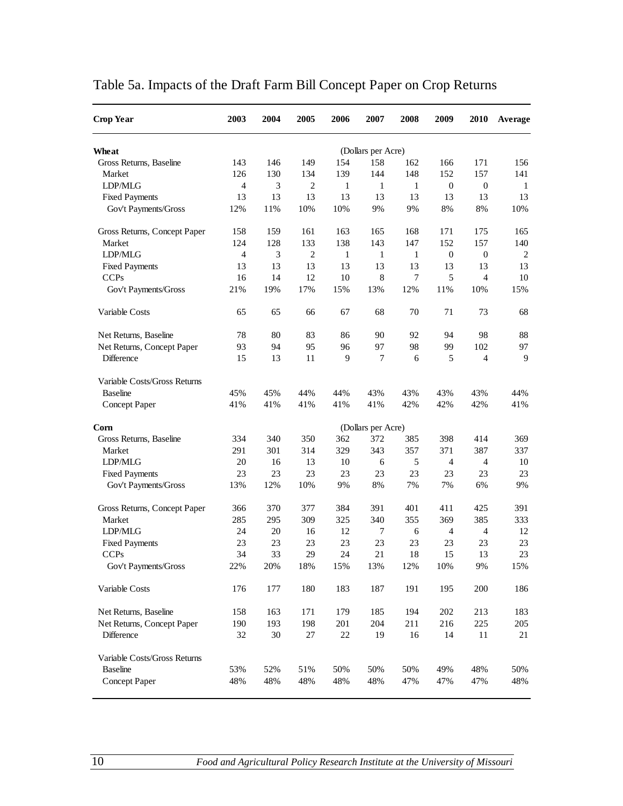| <b>Crop Year</b>                    | 2003           | 2004      | 2005           | 2006         | 2007                      | 2008         | 2009             | <b>2010</b>      | Average        |
|-------------------------------------|----------------|-----------|----------------|--------------|---------------------------|--------------|------------------|------------------|----------------|
| Wheat                               |                |           |                |              |                           |              |                  |                  |                |
| Gross Returns, Baseline             | 143            | 146       | 149            | 154          | (Dollars per Acre)<br>158 | 162          | 166              | 171              | 156            |
| Market                              | 126            | 130       | 134            | 139          | 144                       | 148          | 152              | 157              | 141            |
| LDP/MLG                             | $\overline{4}$ | 3         | $\overline{2}$ | $\mathbf{1}$ | $\mathbf{1}$              | $\mathbf{1}$ | $\boldsymbol{0}$ | $\boldsymbol{0}$ | -1             |
| <b>Fixed Payments</b>               | 13             | 13        | 13             | 13           | 13                        | 13           | 13               | 13               | 13             |
| Gov't Payments/Gross                | 12%            | 11%       | 10%            | 10%          | 9%                        | 9%           | 8%               | 8%               | 10%            |
| Gross Returns, Concept Paper        | 158            | 159       | 161            | 163          | 165                       | 168          | 171              | 175              | 165            |
| Market                              | 124            | 128       | 133            | 138          | 143                       | 147          | 152              | 157              | 140            |
| LDP/MLG                             | 4              | 3         | $\overline{2}$ | 1            | $\mathbf{1}$              | 1            | 0                | $\boldsymbol{0}$ | $\overline{2}$ |
| <b>Fixed Payments</b>               | 13             | 13        | 13             | 13           | 13                        | 13           | 13               | 13               | 13             |
| <b>CCPs</b>                         | 16             | 14        | 12             | 10           | 8                         | 7            | 5                | $\overline{4}$   | 10             |
| Gov't Payments/Gross                | 21%            | 19%       | 17%            | 15%          | 13%                       | 12%          | 11%              | 10%              | 15%            |
| Variable Costs                      | 65             | 65        | 66             | 67           | 68                        | 70           | 71               | 73               | 68             |
| Net Returns, Baseline               | 78             | 80        | 83             | 86           | 90                        | 92           | 94               | 98               | 88             |
| Net Returns, Concept Paper          | 93             | 94        | 95             | 96           | 97                        | 98           | 99               | 102              | 97             |
| <b>Difference</b>                   | 15             | 13        | 11             | 9            | 7                         | 6            | 5                | $\overline{4}$   | 9              |
| Variable Costs/Gross Returns        |                |           |                |              |                           |              |                  |                  |                |
| <b>Baseline</b>                     | 45%            | 45%       | 44%            | 44%          | 43%                       | 43%          | 43%              | 43%              | 44%            |
| Concept Paper                       | 41%            | 41%       | 41%            | 41%          | 41%                       | 42%          | 42%              | 42%              | 41%            |
| Com                                 |                |           |                |              | (Dollars per Acre)        |              |                  |                  |                |
| Gross Returns, Baseline             | 334            | 340       | 350            | 362          | 372                       | 385          | 398              | 414              | 369            |
| Market                              | 291            | 301       | 314            | 329          | 343                       | 357          | 371              | 387              | 337            |
| LDP/MLG                             | 20             | 16        | 13             | 10           | 6                         | 5            | 4                | 4                | 10             |
| <b>Fixed Payments</b>               | 23             | 23        | 23             | 23           | 23                        | 23           | 23               | 23               | 23             |
| Gov't Payments/Gross                | 13%            | 12%       | 10%            | 9%           | 8%                        | 7%           | 7%               | 6%               | 9%             |
| Gross Returns, Concept Paper        | 366            | 370       | 377            | 384          | 391                       | 401          | 411              | 425              | 391            |
| Market                              | 285            | 295       | 309            | 325          | 340                       | 355          | 369              | 385              | 333            |
| LDP/MLG                             | 24             | 20        | 16             | 12           | 7                         | 6            | 4                | $\overline{4}$   | 12             |
| <b>Fixed Payments</b>               | 23             | 23        | 23             | 23           | 23                        | 23           | 23               | 23               | 23             |
| <b>CCPs</b><br>Gov't Payments/Gross | 34<br>22%      | 33<br>20% | 29<br>18%      | 24<br>15%    | 21<br>13%                 | 18<br>12%    | 15<br>10%        | 13<br>9%         | 23<br>15%      |
| Variable Costs                      | 176            | 177       | 180            | 183          | 187                       | 191          | 195              | 200              | 186            |
| Net Returns, Baseline               | 158            | 163       | 171            | 179          | 185                       | 194          | 202              | 213              | 183            |
| Net Returns, Concept Paper          | 190            | 193       | 198            | 201          | 204                       | 211          | 216              | 225              | 205            |
| Difference                          | 32             | 30        | 27             | $22\,$       | 19                        | 16           | 14               | 11               | 21             |
| Variable Costs/Gross Returns        |                |           |                |              |                           |              |                  |                  |                |
| <b>Baseline</b>                     | 53%            | 52%       | 51%            | 50%          | 50%                       | 50%          | 49%              | 48%              | 50%            |
| Concept Paper                       | 48%            | 48%       | 48%            | 48%          | 48%                       | 47%          | 47%              | 47%              | 48%            |

# Table 5a. Impacts of the Draft Farm Bill Concept Paper on Crop Returns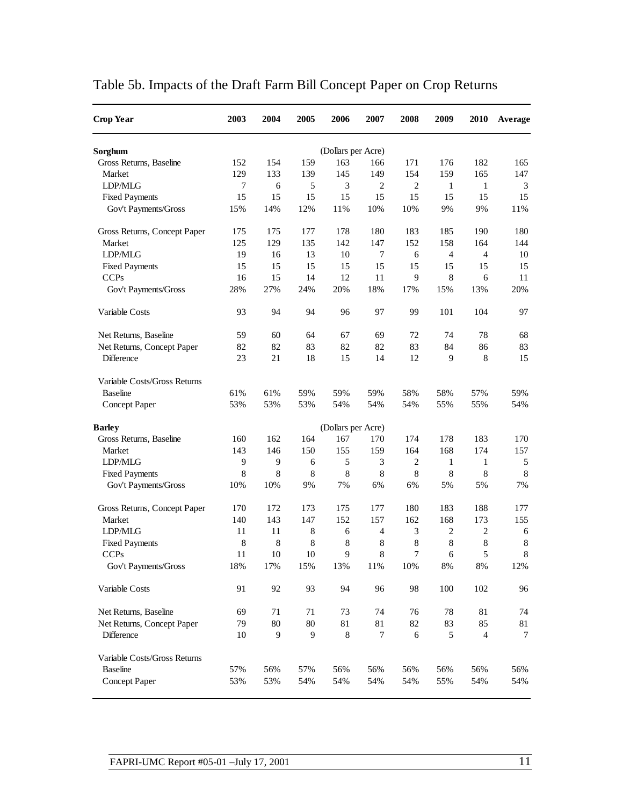| <b>Crop Year</b>             | 2003 | 2004 | 2005 | 2006               | 2007           | 2008           | 2009           | 2010           | Average       |
|------------------------------|------|------|------|--------------------|----------------|----------------|----------------|----------------|---------------|
| Sorghum                      |      |      |      | (Dollars per Acre) |                |                |                |                |               |
| Gross Returns, Baseline      | 152  | 154  | 159  | 163                | 166            | 171            | 176            | 182            | 165           |
| Market                       | 129  | 133  | 139  | 145                | 149            | 154            | 159            | 165            | 147           |
| LDP/MLG                      | 7    | 6    | 5    | 3                  | $\overline{c}$ | $\overline{2}$ | 1              | $\mathbf{1}$   | $\mathfrak 3$ |
| <b>Fixed Payments</b>        | 15   | 15   | 15   | 15                 | 15             | 15             | 15             | 15             | 15            |
| Gov't Payments/Gross         | 15%  | 14%  | 12%  | 11%                | 10%            | 10%            | 9%             | 9%             | 11%           |
| Gross Returns, Concept Paper | 175  | 175  | 177  | 178                | 180            | 183            | 185            | 190            | 180           |
| Market                       | 125  | 129  | 135  | 142                | 147            | 152            | 158            | 164            | 144           |
| LDP/MLG                      | 19   | 16   | 13   | 10                 | 7              | 6              | 4              | $\overline{4}$ | 10            |
| <b>Fixed Payments</b>        | 15   | 15   | 15   | 15                 | 15             | 15             | 15             | 15             | 15            |
| <b>CCPs</b>                  | 16   | 15   | 14   | 12                 | 11             | 9              | 8              | 6              | 11            |
| Gov't Payments/Gross         | 28%  | 27%  | 24%  | 20%                | 18%            | 17%            | 15%            | 13%            | 20%           |
| Variable Costs               | 93   | 94   | 94   | 96                 | 97             | 99             | 101            | 104            | 97            |
| Net Returns, Baseline        | 59   | 60   | 64   | 67                 | 69             | 72             | 74             | 78             | 68            |
| Net Returns, Concept Paper   | 82   | 82   | 83   | 82                 | 82             | 83             | 84             | 86             | 83            |
| Difference                   | 23   | 21   | 18   | 15                 | 14             | 12             | 9              | $\,8\,$        | 15            |
| Variable Costs/Gross Returns |      |      |      |                    |                |                |                |                |               |
| <b>Baseline</b>              | 61%  | 61%  | 59%  | 59%                | 59%            | 58%            | 58%            | 57%            | 59%           |
| Concept Paper                | 53%  | 53%  | 53%  | 54%                | 54%            | 54%            | 55%            | 55%            | 54%           |
| <b>Barley</b>                |      |      |      | (Dollars per Acre) |                |                |                |                |               |
| Gross Returns, Baseline      | 160  | 162  | 164  | 167                | 170            | 174            | 178            | 183            | 170           |
| Market                       | 143  | 146  | 150  | 155                | 159            | 164            | 168            | 174            | 157           |
| LDP/MLG                      | 9    | 9    | 6    | 5                  | 3              | $\mathbf{2}$   | $\mathbf{1}$   | $\mathbf{1}$   | 5             |
| <b>Fixed Payments</b>        | 8    | 8    | 8    | 8                  | 8              | 8              | 8              | 8              | 8             |
| Gov't Payments/Gross         | 10%  | 10%  | 9%   | 7%                 | 6%             | 6%             | 5%             | 5%             | 7%            |
| Gross Returns, Concept Paper | 170  | 172  | 173  | 175                | 177            | 180            | 183            | 188            | 177           |
| Market                       | 140  | 143  | 147  | 152                | 157            | 162            | 168            | 173            | 155           |
| LDP/MLG                      | 11   | 11   | 8    | 6                  | 4              | 3              | $\overline{c}$ | $\overline{c}$ | 6             |
| <b>Fixed Payments</b>        | 8    | 8    | 8    | 8                  | 8              | 8              | 8              | $\,8\,$        | $\,8\,$       |
| <b>CCPs</b>                  | 11   | 10   | 10   | 9                  | 8              | 7              | 6              | 5              | 8             |
| Gov't Payments/Gross         | 18%  | 17%  | 15%  | 13%                | 11%            | 10%            | $8\%$          | $8\%$          | 12%           |
| Variable Costs               | 91   | 92   | 93   | 94                 | 96             | 98             | 100            | 102            | 96            |
| Net Returns, Baseline        | 69   | 71   | 71   | 73                 | 74             | 76             | 78             | 81             | 74            |
| Net Returns, Concept Paper   | 79   | 80   | 80   | 81                 | 81             | 82             | 83             | 85             | 81            |
| Difference                   | 10   | 9    | 9    | $\,8\,$            | 7              | 6              | 5              | $\overline{4}$ | 7             |
| Variable Costs/Gross Returns |      |      |      |                    |                |                |                |                |               |
| <b>Baseline</b>              | 57%  | 56%  | 57%  | 56%                | 56%            | 56%            | 56%            | 56%            | 56%           |
| Concept Paper                | 53%  | 53%  | 54%  | 54%                | 54%            | 54%            | 55%            | 54%            | 54%           |

# Table 5b. Impacts of the Draft Farm Bill Concept Paper on Crop Returns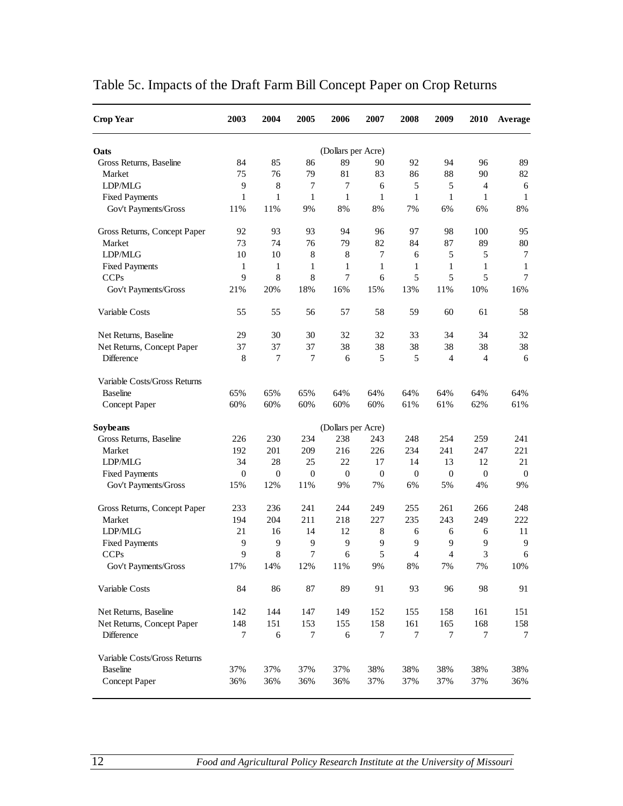| <b>Crop Year</b>             | 2003             | 2004         | 2005         | 2006               | 2007             | 2008           | 2009           | 2010           | Average        |
|------------------------------|------------------|--------------|--------------|--------------------|------------------|----------------|----------------|----------------|----------------|
| Oats                         |                  |              |              | (Dollars per Acre) |                  |                |                |                |                |
| Gross Returns, Baseline      | 84               | 85           | 86           | 89                 | 90               | 92             | 94             | 96             | 89             |
| Market                       | 75               | 76           | 79           | 81                 | 83               | 86             | 88             | 90             | 82             |
| LDP/MLG                      | 9                | 8            | 7            | $\tau$             | 6                | 5              | 5              | $\overline{4}$ | 6              |
| <b>Fixed Payments</b>        | 1                | 1            | $\mathbf{1}$ | $\mathbf{1}$       | $\mathbf{1}$     | $\mathbf{1}$   | $\mathbf{1}$   | $\mathbf{1}$   | $\mathbf{1}$   |
| Gov't Payments/Gross         | 11%              | 11%          | 9%           | 8%                 | 8%               | 7%             | 6%             | 6%             | 8%             |
| Gross Returns, Concept Paper | 92               | 93           | 93           | 94                 | 96               | 97             | 98             | 100            | 95             |
| Market                       | 73               | 74           | 76           | 79                 | 82               | 84             | 87             | 89             | 80             |
| LDP/MLG                      | 10               | 10           | 8            | $\,8\,$            | 7                | 6              | 5              | 5              | 7              |
| <b>Fixed Payments</b>        | 1                | 1            | 1            | 1                  | 1                | 1              | 1              | 1              | $\mathbf{1}$   |
| <b>CCPs</b>                  | 9                | 8            | 8            | $\overline{7}$     | 6                | 5              | 5              | 5              | $\overline{7}$ |
| Gov't Payments/Gross         | 21%              | 20%          | 18%          | 16%                | 15%              | 13%            | 11%            | 10%            | 16%            |
| Variable Costs               | 55               | 55           | 56           | 57                 | 58               | 59             | 60             | 61             | 58             |
| Net Returns, Baseline        | 29               | 30           | 30           | 32                 | 32               | 33             | 34             | 34             | 32             |
| Net Returns, Concept Paper   | 37               | 37           | 37           | 38                 | 38               | 38             | 38             | 38             | 38             |
| <b>Difference</b>            | 8                | 7            | 7            | 6                  | 5                | 5              | $\overline{4}$ | $\overline{4}$ | 6              |
| Variable Costs/Gross Returns |                  |              |              |                    |                  |                |                |                |                |
| <b>Baseline</b>              | 65%              | 65%          | 65%          | 64%                | 64%              | 64%            | 64%            | 64%            | 64%            |
| Concept Paper                | 60%              | 60%          | 60%          | 60%                | 60%              | 61%            | 61%            | 62%            | 61%            |
| Soybeans                     |                  |              |              | (Dollars per Acre) |                  |                |                |                |                |
| Gross Returns, Baseline      | 226              | 230          | 234          | 238                | 243              | 248            | 254            | 259            | 241            |
| Market                       | 192              | 201          | 209          | 216                | 226              | 234            | 241            | 247            | 221            |
| LDP/MLG                      | 34               | 28           | 25           | 22                 | 17               | 14             | 13             | 12             | 21             |
| <b>Fixed Payments</b>        | $\boldsymbol{0}$ | $\mathbf{0}$ | $\mathbf{0}$ | $\mathbf{0}$       | $\boldsymbol{0}$ | $\mathbf{0}$   | $\mathbf{0}$   | $\mathbf{0}$   | $\mathbf{0}$   |
| Gov't Payments/Gross         | 15%              | 12%          | 11%          | 9%                 | 7%               | 6%             | 5%             | 4%             | 9%             |
| Gross Returns, Concept Paper | 233              | 236          | 241          | 244                | 249              | 255            | 261            | 266            | 248            |
| Market                       | 194              | 204          | 211          | 218                | 227              | 235            | 243            | 249            | 222            |
| LDP/MLG                      | 21               | 16           | 14           | 12                 | 8                | 6              | 6              | 6              | 11             |
| <b>Fixed Payments</b>        | 9                | 9            | 9            | 9                  | 9                | 9              | 9              | 9              | 9              |
| <b>CCPs</b>                  | 9                | 8            | 7            | 6                  | 5                | $\overline{4}$ | 4              | 3              | 6              |
| Gov't Payments/Gross         | 17%              | 14%          | 12%          | 11%                | 9%               | 8%             | 7%             | 7%             | 10%            |
| Variable Costs               | 84               | 86           | 87           | 89                 | 91               | 93             | 96             | 98             | 91             |
| Net Returns, Baseline        | 142              | 144          | 147          | 149                | 152              | 155            | 158            | 161            | 151            |
| Net Returns, Concept Paper   | 148              | 151          | 153          | 155                | 158              | 161            | 165            | 168            | 158            |
| Difference                   | 7                | 6            | 7            | 6                  | 7                | $\tau$         | $\tau$         | 7              | 7              |
| Variable Costs/Gross Returns |                  |              |              |                    |                  |                |                |                |                |
| <b>Baseline</b>              | 37%              | 37%          | 37%          | 37%                | 38%              | 38%            | 38%            | 38%            | 38%            |
| Concept Paper                | 36%              | 36%          | 36%          | 36%                | 37%              | 37%            | 37%            | 37%            | 36%            |

# Table 5c. Impacts of the Draft Farm Bill Concept Paper on Crop Returns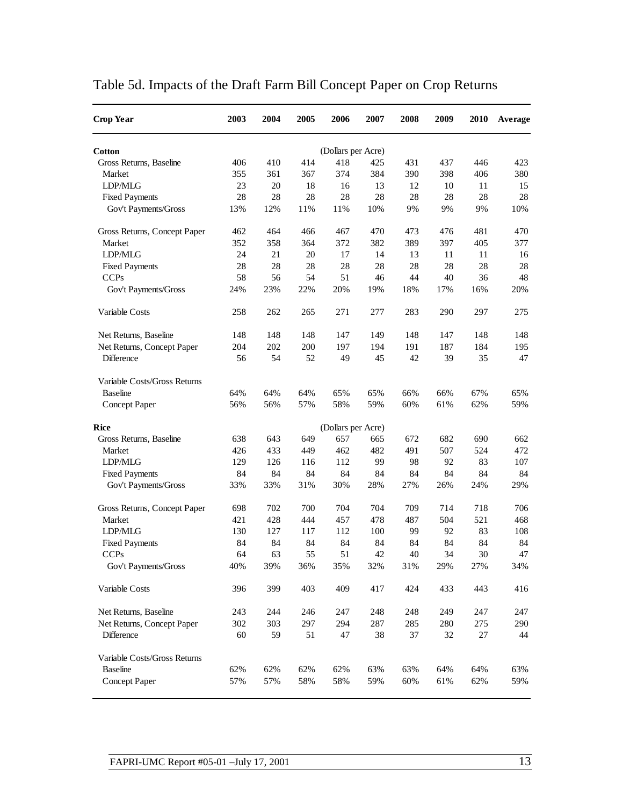| <b>Crop Year</b>             | 2003 | 2004 | 2005 | 2006               | 2007 | 2008 | 2009 | 2010 | Average |
|------------------------------|------|------|------|--------------------|------|------|------|------|---------|
| <b>Cotton</b>                |      |      |      | (Dollars per Acre) |      |      |      |      |         |
| Gross Returns, Baseline      | 406  | 410  | 414  | 418                | 425  | 431  | 437  | 446  | 423     |
| Market                       | 355  | 361  | 367  | 374                | 384  | 390  | 398  | 406  | 380     |
| LDP/MLG                      | 23   | 20   | 18   | 16                 | 13   | 12   | 10   | 11   | 15      |
| <b>Fixed Payments</b>        | 28   | 28   | 28   | 28                 | 28   | 28   | 28   | 28   | 28      |
| Gov't Payments/Gross         | 13%  | 12%  | 11%  | 11%                | 10%  | 9%   | 9%   | 9%   | 10%     |
| Gross Returns, Concept Paper | 462  | 464  | 466  | 467                | 470  | 473  | 476  | 481  | 470     |
| Market                       | 352  | 358  | 364  | 372                | 382  | 389  | 397  | 405  | 377     |
| LDP/MLG                      | 24   | 21   | 20   | 17                 | 14   | 13   | 11   | 11   | 16      |
| <b>Fixed Payments</b>        | 28   | 28   | 28   | 28                 | 28   | 28   | 28   | 28   | 28      |
| <b>CCPs</b>                  | 58   | 56   | 54   | 51                 | 46   | 44   | 40   | 36   | 48      |
| Gov't Payments/Gross         | 24%  | 23%  | 22%  | 20%                | 19%  | 18%  | 17%  | 16%  | 20%     |
| Variable Costs               | 258  | 262  | 265  | 271                | 277  | 283  | 290  | 297  | 275     |
| Net Returns, Baseline        | 148  | 148  | 148  | 147                | 149  | 148  | 147  | 148  | 148     |
| Net Returns, Concept Paper   | 204  | 202  | 200  | 197                | 194  | 191  | 187  | 184  | 195     |
| <b>Difference</b>            | 56   | 54   | 52   | 49                 | 45   | 42   | 39   | 35   | 47      |
| Variable Costs/Gross Returns |      |      |      |                    |      |      |      |      |         |
| <b>Baseline</b>              | 64%  | 64%  | 64%  | 65%                | 65%  | 66%  | 66%  | 67%  | 65%     |
| Concept Paper                | 56%  | 56%  | 57%  | 58%                | 59%  | 60%  | 61%  | 62%  | 59%     |
| Rice                         |      |      |      | (Dollars per Acre) |      |      |      |      |         |
| Gross Returns, Baseline      | 638  | 643  | 649  | 657                | 665  | 672  | 682  | 690  | 662     |
| Market                       | 426  | 433  | 449  | 462                | 482  | 491  | 507  | 524  | 472     |
| LDP/MLG                      | 129  | 126  | 116  | 112                | 99   | 98   | 92   | 83   | 107     |
| <b>Fixed Payments</b>        | 84   | 84   | 84   | 84                 | 84   | 84   | 84   | 84   | 84      |
| Gov't Payments/Gross         | 33%  | 33%  | 31%  | 30%                | 28%  | 27%  | 26%  | 24%  | 29%     |
| Gross Returns, Concept Paper | 698  | 702  | 700  | 704                | 704  | 709  | 714  | 718  | 706     |
| Market                       | 421  | 428  | 444  | 457                | 478  | 487  | 504  | 521  | 468     |
| LDP/MLG                      | 130  | 127  | 117  | 112                | 100  | 99   | 92   | 83   | 108     |
| <b>Fixed Payments</b>        | 84   | 84   | 84   | 84                 | 84   | 84   | 84   | 84   | 84      |
| <b>CCPs</b>                  | 64   | 63   | 55   | 51                 | 42   | 40   | 34   | 30   | 47      |
| Gov't Payments/Gross         | 40%  | 39%  | 36%  | 35%                | 32%  | 31%  | 29%  | 27%  | 34%     |
| Variable Costs               | 396  | 399  | 403  | 409                | 417  | 424  | 433  | 443  | 416     |
| Net Returns, Baseline        | 243  | 244  | 246  | 247                | 248  | 248  | 249  | 247  | 247     |
| Net Returns, Concept Paper   | 302  | 303  | 297  | 294                | 287  | 285  | 280  | 275  | 290     |
| Difference                   | 60   | 59   | 51   | 47                 | 38   | 37   | 32   | 27   | 44      |
| Variable Costs/Gross Returns |      |      |      |                    |      |      |      |      |         |
| <b>Baseline</b>              | 62%  | 62%  | 62%  | 62%                | 63%  | 63%  | 64%  | 64%  | 63%     |
| Concept Paper                | 57%  | 57%  | 58%  | 58%                | 59%  | 60%  | 61%  | 62%  | 59%     |

# Table 5d. Impacts of the Draft Farm Bill Concept Paper on Crop Returns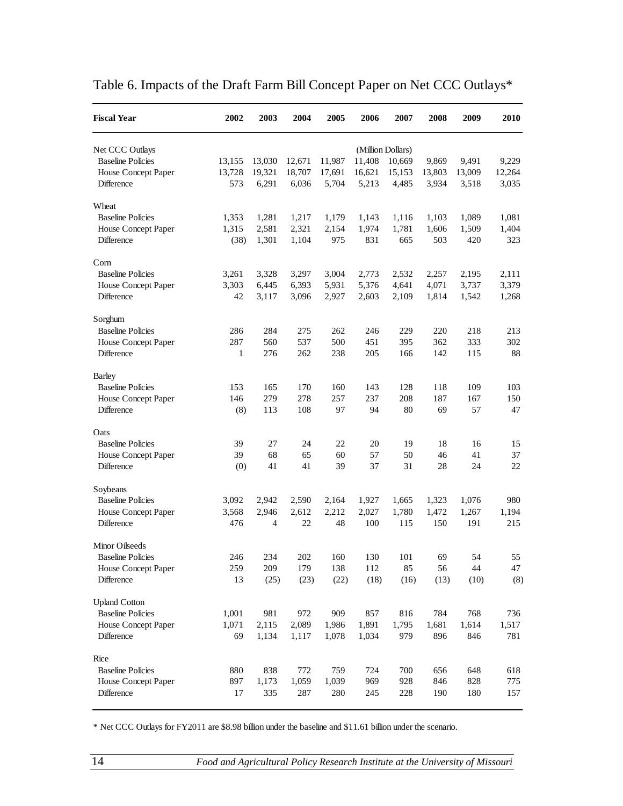| <b>Fiscal Year</b>                         | 2002           | 2003           | 2004           | 2005           | 2006           | 2007              | 2008           | 2009           | 2010         |
|--------------------------------------------|----------------|----------------|----------------|----------------|----------------|-------------------|----------------|----------------|--------------|
| Net CCC Outlays                            |                |                |                |                |                | (Million Dollars) |                |                |              |
| <b>Baseline Policies</b>                   | 13,155         | 13,030         | 12,671         | 11,987         | 11,408         | 10,669            | 9,869          | 9,491          | 9,229        |
| House Concept Paper                        | 13,728         | 19,321         | 18,707         | 17,691         | 16,621         | 15,153            | 13,803         | 13,009         | 12,264       |
| Difference                                 | 573            | 6,291          | 6,036          | 5,704          | 5,213          | 4,485             | 3,934          | 3,518          | 3,035        |
| Wheat                                      |                |                |                |                |                |                   |                |                |              |
| <b>Baseline Policies</b>                   | 1,353          | 1,281          | 1,217          | 1,179          | 1,143          | 1,116             | 1,103          | 1,089          | 1,081        |
| House Concept Paper                        | 1,315          | 2,581          | 2,321          | 2,154          | 1,974          | 1,781             | 1,606          | 1,509          | 1,404        |
| Difference                                 | (38)           | 1,301          | 1,104          | 975            | 831            | 665               | 503            | 420            | 323          |
| Corn                                       |                |                |                |                |                |                   |                |                |              |
| <b>Baseline Policies</b>                   | 3,261          | 3,328          | 3,297          | 3,004          | 2,773          | 2,532             | 2,257          | 2,195          | 2,111        |
| House Concept Paper                        | 3,303          | 6,445          | 6,393          | 5,931          | 5,376          | 4,641             | 4,071          | 3,737          | 3,379        |
| Difference                                 | 42             | 3,117          | 3,096          | 2,927          | 2,603          | 2,109             | 1,814          | 1,542          | 1,268        |
| Sorghum                                    |                |                |                |                |                |                   |                |                |              |
| <b>Baseline Policies</b>                   | 286            | 284            | 275            | 262            | 246            | 229               | 220            | 218            | 213          |
| House Concept Paper                        | 287            | 560            | 537            | 500            | 451            | 395               | 362            | 333            | 302          |
| Difference                                 | $\mathbf{1}$   | 276            | 262            | 238            | 205            | 166               | 142            | 115            | 88           |
| <b>Barley</b>                              |                |                |                |                |                |                   |                |                |              |
| <b>Baseline Policies</b>                   | 153            | 165            | 170            | 160            | 143            | 128               | 118            | 109            | 103          |
| House Concept Paper<br>Difference          | 146<br>(8)     | 279<br>113     | 278<br>108     | 257<br>97      | 237<br>94      | 208<br>80         | 187<br>69      | 167<br>57      | 150<br>47    |
|                                            |                |                |                |                |                |                   |                |                |              |
| Oats<br><b>Baseline Policies</b>           |                | 27             |                | 22             |                |                   |                |                |              |
| House Concept Paper                        | 39<br>39       | 68             | 24<br>65       | 60             | 20<br>57       | 19<br>50          | 18<br>46       | 16<br>41       | 15<br>37     |
| Difference                                 | (0)            | 41             | 41             | 39             | 37             | 31                | 28             | 24             | 22           |
|                                            |                |                |                |                |                |                   |                |                |              |
| Soybeans<br><b>Baseline Policies</b>       |                |                |                |                |                |                   |                |                |              |
|                                            | 3,092<br>3,568 | 2,942<br>2,946 | 2,590<br>2,612 | 2,164<br>2,212 | 1,927<br>2,027 | 1,665<br>1,780    | 1,323<br>1,472 | 1,076<br>1,267 | 980<br>1,194 |
| House Concept Paper<br>Difference          | 476            | $\overline{4}$ | 22             | 48             | 100            | 115               | 150            | 191            | 215          |
|                                            |                |                |                |                |                |                   |                |                |              |
| Minor Oilseeds<br><b>Baseline Policies</b> | 246            | 234            | 202            | 160            | 130            | 101               | 69             | 54             | 55           |
| House Concept Paper                        | 259            | 209            | 179            | 138            | 112            | 85                | 56             | 44             | 47           |
| Difference                                 | 13             | (25)           | (23)           | (22)           | (18)           | (16)              | (13)           | (10)           | (8)          |
| <b>Upland Cotton</b>                       |                |                |                |                |                |                   |                |                |              |
| <b>Baseline Policies</b>                   | 1,001          | 981            | 972            | 909            | 857            | 816               | 784            | 768            | 736          |
| House Concept Paper                        | 1,071          | 2,115          | 2,089          | 1,986          | 1,891          | 1,795             | 1,681          | 1,614          | 1,517        |
| Difference                                 | 69             | 1,134          | 1,117          | 1,078          | 1,034          | 979               | 896            | 846            | 781          |
| Rice                                       |                |                |                |                |                |                   |                |                |              |
| <b>Baseline Policies</b>                   | 880            | 838            | 772            | 759            | 724            | 700               | 656            | 648            | 618          |
| House Concept Paper                        | 897            | 1,173          | 1,059          | 1,039          | 969            | 928               | 846            | 828            | 775          |
| Difference                                 | 17             | 335            | 287            | 280            | 245            | 228               | 190            | 180            | 157          |
|                                            |                |                |                |                |                |                   |                |                |              |

## Table 6. Impacts of the Draft Farm Bill Concept Paper on Net CCC Outlays\*

\* Net CCC Outlays for FY2011 are \$8.98 billion under the baseline and \$11.61 billion under the scenario.